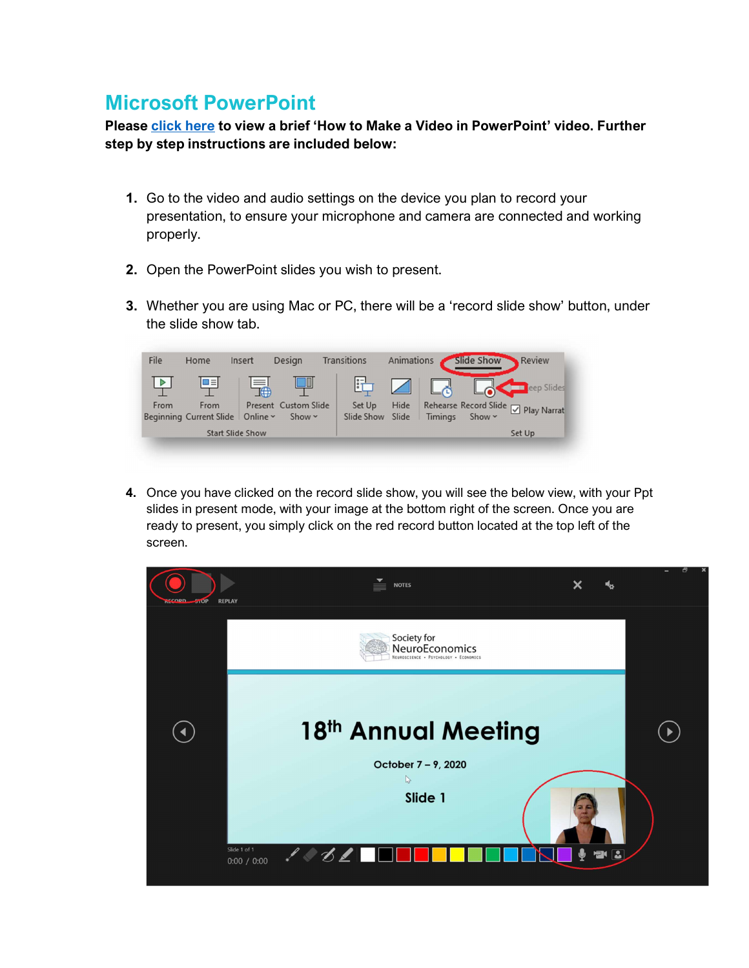## Microsoft PowerPoint

Please click here to view a brief 'How to Make a Video in PowerPoint' video. Further step by step instructions are included below:

- 1. Go to the video and audio settings on the device you plan to record your presentation, to ensure your microphone and camera are connected and working properly.
- 2. Open the PowerPoint slides you wish to present.
- 3. Whether you are using Mac or PC, there will be a 'record slide show' button, under the slide show tab.



4. Once you have clicked on the record slide show, you will see the below view, with your Ppt slides in present mode, with your image at the bottom right of the screen. Once you are ready to present, you simply click on the red record button located at the top left of the screen.

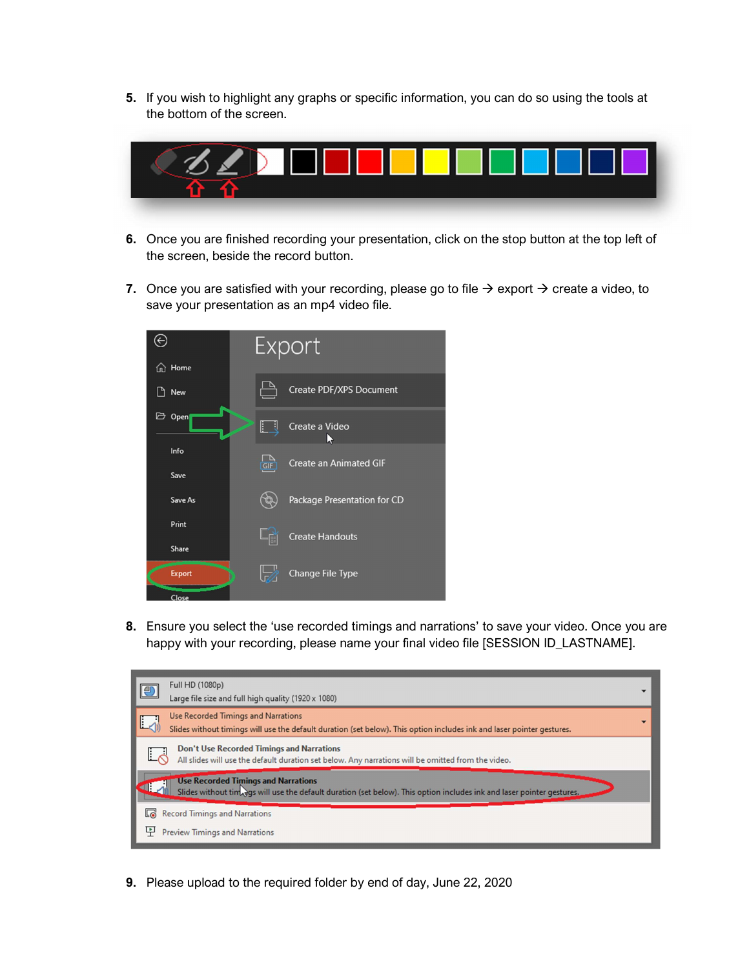5. If you wish to highlight any graphs or specific information, you can do so using the tools at the bottom of the screen.



- 6. Once you are finished recording your presentation, click on the stop button at the top left of the screen, beside the record button.
- 7. Once you are satisfied with your recording, please go to file  $\rightarrow$  export  $\rightarrow$  create a video, to save your presentation as an mp4 video file.



8. Ensure you select the 'use recorded timings and narrations' to save your video. Once you are happy with your recording, please name your final video file [SESSION ID\_LASTNAME].



9. Please upload to the required folder by end of day, June 22, 2020